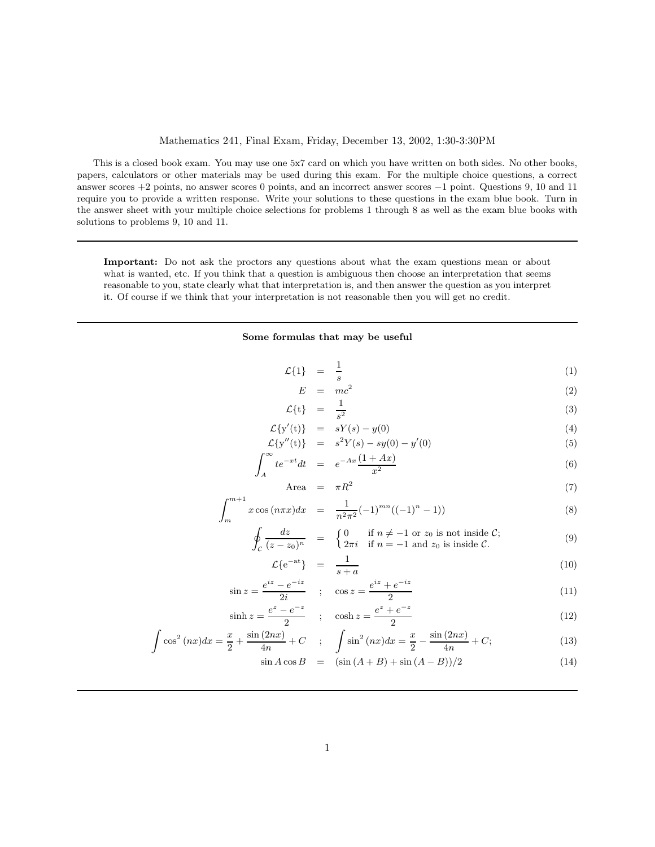## Mathematics 241, Final Exam, Friday, December 13, 2002, 1:30-3:30PM

This is a closed book exam. You may use one 5x7 card on which you have written on both sides. No other books, papers, calculators or other materials may be used during this exam. For the multiple choice questions, a correct answer scores +2 points, no answer scores 0 points, and an incorrect answer scores −1 point. Questions 9, 10 and 11 require you to provide a written response. Write your solutions to these questions in the exam blue book. Turn in the answer sheet with your multiple choice selections for problems 1 through 8 as well as the exam blue books with solutions to problems 9, 10 and 11.

Important: Do not ask the proctors any questions about what the exam questions mean or about what is wanted, etc. If you think that a question is ambiguous then choose an interpretation that seems reasonable to you, state clearly what that interpretation is, and then answer the question as you interpret it. Of course if we think that your interpretation is not reasonable then you will get no credit.

## Some formulas that may be useful

| $\mathcal{L}{1}$ = $\frac{1}{s}$ |  | (1) |
|----------------------------------|--|-----|
|                                  |  |     |

$$
E = mc^2 \tag{2}
$$

$$
\mathcal{L}\lbrace t \rbrace = \frac{1}{s^2} \tag{3}
$$

$$
\mathcal{L}\lbrace y'(t)\rbrace = sY(s) - y(0) \tag{4}
$$
\n
$$
\mathcal{L}\lbrace y'(t)\rbrace = sY(s) - y(0) \tag{5}
$$

$$
\mathcal{L}\{y''(t)\} = s^2 Y(s) - sy(0) - y'(0)
$$
\n
$$
\int_{-\infty}^{\infty} t^{-xt} dt \qquad -Ax(1+Ax)
$$
\n(5)

$$
\int_{A} te^{-xt}dt = e^{-Ax} \frac{(1+Ax)}{x^2}
$$
\n(6)

$$
\text{Area} = \pi R^2 \tag{7}
$$

$$
\int_{m}^{m+1} x \cos(n\pi x) dx = \frac{1}{n^2 \pi^2} (-1)^{mn} ((-1)^n - 1)
$$
\n(8)

$$
\oint_C \frac{dz}{(z-z_0)^n} = \begin{cases}\n0 & \text{if } n \neq -1 \text{ or } z_0 \text{ is not inside } C; \\
2\pi i & \text{if } n = -1 \text{ and } z_0 \text{ is inside } C.\n\end{cases}
$$
\n(9)

$$
\mathcal{L}\lbrace e^{-at}\rbrace = \frac{1}{s+a} \tag{10}
$$

$$
\sin z = \frac{e^{iz} - e^{-iz}}{2i} \quad ; \quad \cos z = \frac{e^{iz} + e^{-iz}}{2} \tag{11}
$$

$$
\sinh z = \frac{e^z - e^{-z}}{2} \quad ; \quad \cosh z = \frac{e^z + e^{-z}}{2} \tag{12}
$$

$$
\int \cos^2{(nx)}dx = \frac{x}{2} + \frac{\sin{(2nx)}}{4n} + C \quad ; \quad \int \sin^2{(nx)}dx = \frac{x}{2} - \frac{\sin{(2nx)}}{4n} + C; \tag{13}
$$

$$
\sin A \cos B = (\sin (A + B) + \sin (A - B))/2 \tag{14}
$$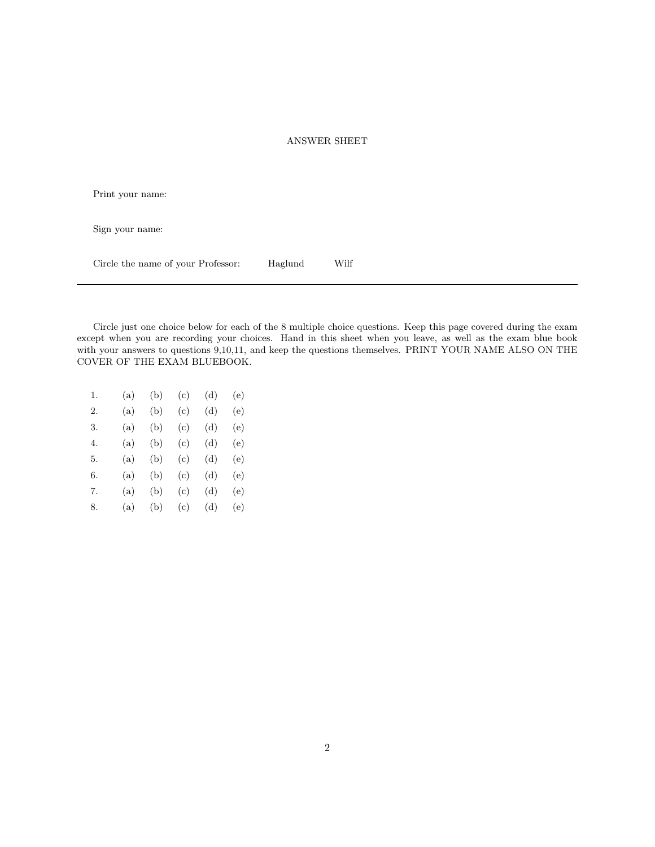## ANSWER SHEET

Print your name:

Sign your name:

Circle the name of your Professor: Haglund Wilf

Circle just one choice below for each of the 8 multiple choice questions. Keep this page covered during the exam except when you are recording your choices. Hand in this sheet when you leave, as well as the exam blue book with your answers to questions 9,10,11, and keep the questions themselves. PRINT YOUR NAME ALSO ON THE COVER OF THE EXAM BLUEBOOK.

| 1. | (a) | (b) | (c) | (d) | (e) |
|----|-----|-----|-----|-----|-----|
| 2. | (a) | (b) | (c) | (d) | (e) |
| 3. | (a) | (b) | (c) | (d) | (e) |
| 4. | (a) | (b) | (c) | (d) | (e) |
| 5. | (a) | (b) | (c) | (d) | (e) |
| 6. | (a) | (b) | (c) | (d) | (e) |
| 7. | (a) | (b) | (c) | (d) | (e) |
| 8. | (a) | (b) | (c) | (d) | (e) |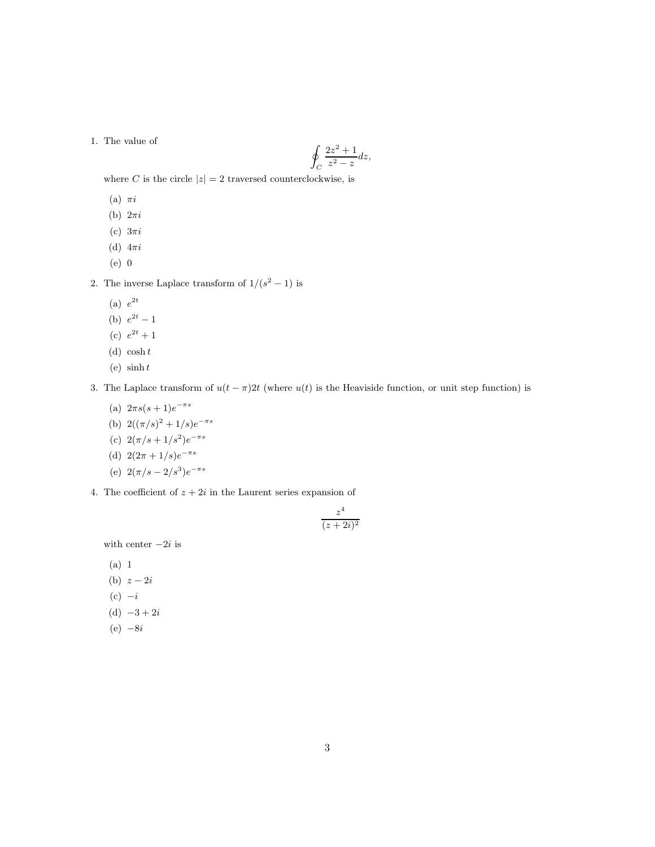## 1. The value of

$$
\oint_C \frac{2z^2 + 1}{z^2 - z} dz,
$$

where C is the circle  $|z| = 2$  traversed counterclockwise, is

- (a)  $\pi i$
- (b)  $2\pi i$
- (c)  $3\pi i$
- (d)  $4\pi i$
- (e) 0

2. The inverse Laplace transform of  $1/(s^2 - 1)$  is

- (a)  $e^{2t}$
- (b)  $e^{2t} 1$
- (c)  $e^{2t} + 1$
- (d)  $\cosh t$
- (e)  $\sinh t$

3. The Laplace transform of  $u(t - \pi)2t$  (where  $u(t)$  is the Heaviside function, or unit step function) is

- (a)  $2\pi s(s+1)e^{-\pi s}$
- (b)  $2((\pi/s)^2 + 1/s)e^{-\pi s}$
- (c)  $2(\pi/s + 1/s^2)e^{-\pi s}$
- (d)  $2(2\pi + 1/s)e^{-\pi s}$
- (e)  $2(\pi/s 2/s^3)e^{-\pi s}$
- 4. The coefficient of  $z + 2i$  in the Laurent series expansion of

$$
\frac{z^4}{(z+2i)^2}
$$

with center  $-2i$  is

(a) 1 (b)  $z - 2i$  $(c) -i$ (d)  $-3 + 2i$  $(e) -8i$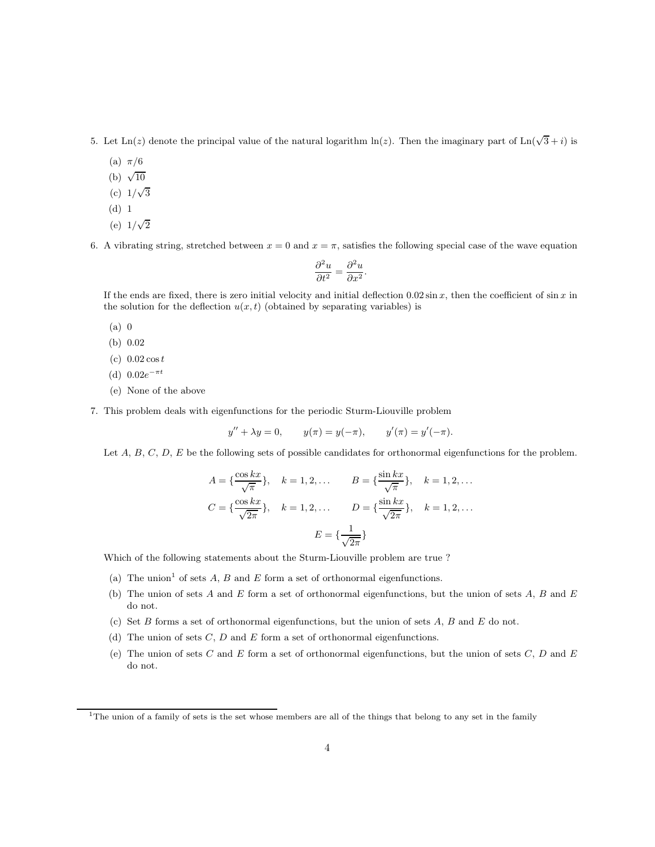5. Let  $\text{Ln}(z)$  denote the principal value of the natural logarithm  $\ln(z)$ . Then the imaginary part of  $\text{Ln}(\sqrt{3}+i)$  is

- (a)  $\pi/6$
- (b)  $\sqrt{10}$
- (c)  $1/\sqrt{3}$
- (d) 1
- (e)  $1/\sqrt{2}$

6. A vibrating string, stretched between  $x = 0$  and  $x = \pi$ , satisfies the following special case of the wave equation

$$
\frac{\partial^2 u}{\partial t^2} = \frac{\partial^2 u}{\partial x^2}.
$$

If the ends are fixed, there is zero initial velocity and initial deflection  $0.02 \sin x$ , then the coefficient of  $\sin x$  in the solution for the deflection  $u(x, t)$  (obtained by separating variables) is

- (a) 0
- (b) 0.02
- (c)  $0.02 \cos t$
- (d)  $0.02e^{-\pi t}$
- (e) None of the above
- 7. This problem deals with eigenfunctions for the periodic Sturm-Liouville problem

$$
y'' + \lambda y = 0
$$
,  $y(\pi) = y(-\pi)$ ,  $y'(\pi) = y'(-\pi)$ .

Let  $A, B, C, D, E$  be the following sets of possible candidates for orthonormal eigenfunctions for the problem.

$$
A = \{\frac{\cos kx}{\sqrt{\pi}}\}, \quad k = 1, 2, \dots
$$
  

$$
B = \{\frac{\sin kx}{\sqrt{\pi}}\}, \quad k = 1, 2, \dots
$$
  

$$
C = \{\frac{\cos kx}{\sqrt{2\pi}}\}, \quad k = 1, 2, \dots
$$
  

$$
D = \{\frac{\sin kx}{\sqrt{2\pi}}\}, \quad k = 1, 2, \dots
$$
  

$$
E = \{\frac{1}{\sqrt{2\pi}}\}
$$

Which of the following statements about the Sturm-Liouville problem are true ?

- (a) The union<sup>1</sup> of sets  $A, B$  and  $E$  form a set of orthonormal eigenfunctions.
- (b) The union of sets  $A$  and  $E$  form a set of orthonormal eigenfunctions, but the union of sets  $A$ ,  $B$  and  $E$ do not.
- (c) Set  $B$  forms a set of orthonormal eigenfunctions, but the union of sets  $A, B$  and  $E$  do not.
- (d) The union of sets  $C, D$  and  $E$  form a set of orthonormal eigenfunctions.
- (e) The union of sets  $C$  and  $E$  form a set of orthonormal eigenfunctions, but the union of sets  $C, D$  and  $E$ do not.

<sup>1</sup>The union of a family of sets is the set whose members are all of the things that belong to any set in the family